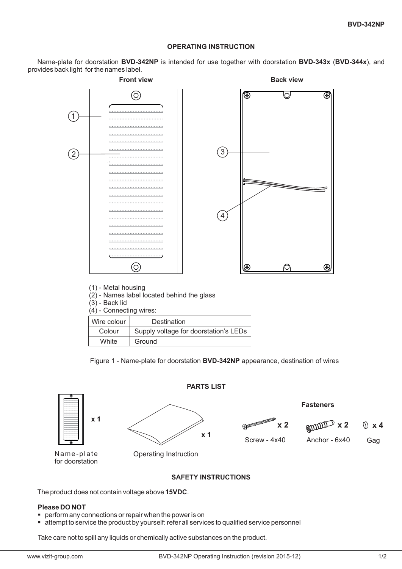### **OPERATING INSTRUCTION**

Name-plate for doorstation BVD-342NP is intended for use together with doorstation BVD-343x (BVD-344x), and provides back light for the names label.



(1) - Metal housing

(2) - Names label located behind the glass

 $(3)$  - Back lid

(4) - Connecting wires:

| Wire colour | Destination                           |
|-------------|---------------------------------------|
| Colour      | Supply voltage for doorstation's LEDs |
| White       | Ground                                |

Figure 1 - Name-plate for doorstation **BVD-342NP** appearance, destination of wires



## **SAFETY INSTRUCTIONS**

The product does not contain voltage above 15VDC.

# **Please DO NOT** -

- -perform any connections or repair when the power is on
- attempt to service the product by yourself: refer all services to qualified service personnel

Take care not to spill any liquids or chemically active substances on the product.